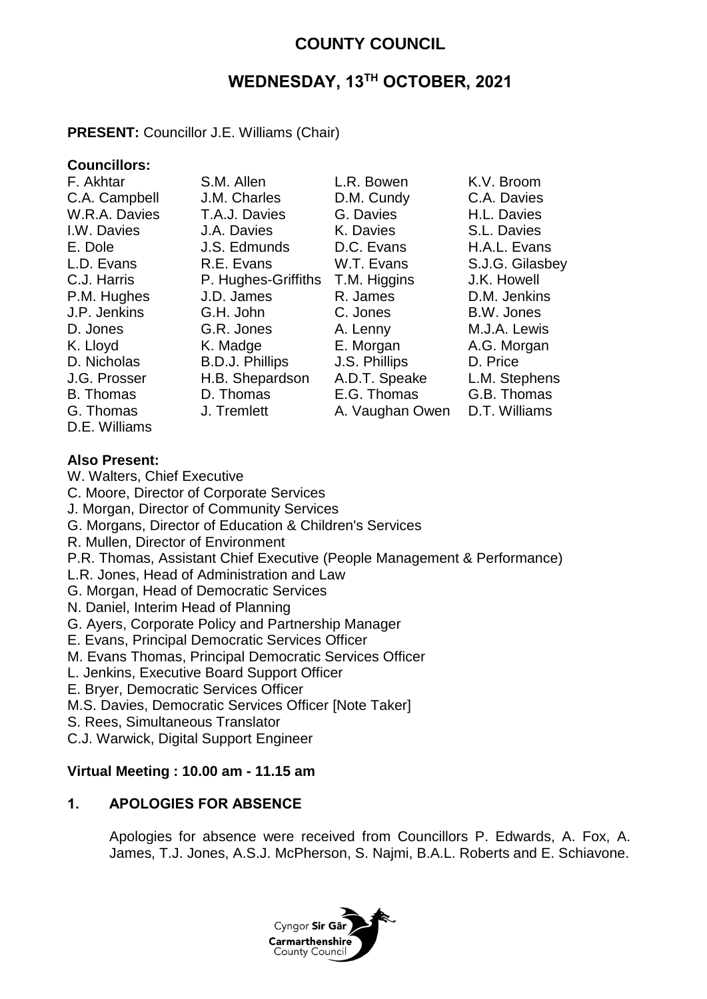## **COUNTY COUNCIL**

# **WEDNESDAY, 13TH OCTOBER, 2021**

## **PRESENT:** Councillor J.E. Williams (Chair)

## **Councillors:**

| F. Akhtar        | S.M. Allen             | L.R. Bowen      | K.V. Broom      |
|------------------|------------------------|-----------------|-----------------|
| C.A. Campbell    | J.M. Charles           | D.M. Cundy      | C.A. Davies     |
| W.R.A. Davies    | T.A.J. Davies          | G. Davies       | H.L. Davies     |
| I.W. Davies      | J.A. Davies            | K. Davies       | S.L. Davies     |
| E. Dole          | J.S. Edmunds           | D.C. Evans      | H.A.L. Evans    |
| L.D. Evans       | R.E. Evans             | W.T. Evans      | S.J.G. Gilasbey |
| C.J. Harris      | P. Hughes-Griffiths    | T.M. Higgins    | J.K. Howell     |
| P.M. Hughes      | J.D. James             | R. James        | D.M. Jenkins    |
| J.P. Jenkins     | G.H. John              | C. Jones        | B.W. Jones      |
| D. Jones         | G.R. Jones             | A. Lenny        | M.J.A. Lewis    |
| K. Lloyd         | K. Madge               | E. Morgan       | A.G. Morgan     |
| D. Nicholas      | <b>B.D.J. Phillips</b> | J.S. Phillips   | D. Price        |
| J.G. Prosser     | H.B. Shepardson        | A.D.T. Speake   | L.M. Stephens   |
| <b>B.</b> Thomas | D. Thomas              | E.G. Thomas     | G.B. Thomas     |
| G. Thomas        | J. Tremlett            | A. Vaughan Owen | D.T. Williams   |
|                  |                        |                 |                 |

D.E. Williams

#### **Also Present:**

- W. Walters, Chief Executive
- C. Moore, Director of Corporate Services
- J. Morgan, Director of Community Services
- G. Morgans, Director of Education & Children's Services
- R. Mullen, Director of Environment
- P.R. Thomas, Assistant Chief Executive (People Management & Performance)
- L.R. Jones, Head of Administration and Law
- G. Morgan, Head of Democratic Services
- N. Daniel, Interim Head of Planning
- G. Ayers, Corporate Policy and Partnership Manager
- E. Evans, Principal Democratic Services Officer
- M. Evans Thomas, Principal Democratic Services Officer
- L. Jenkins, Executive Board Support Officer
- E. Bryer, Democratic Services Officer
- M.S. Davies, Democratic Services Officer [Note Taker]
- S. Rees, Simultaneous Translator

C.J. Warwick, Digital Support Engineer

#### **Virtual Meeting : 10.00 am - 11.15 am**

## **1. APOLOGIES FOR ABSENCE**

Apologies for absence were received from Councillors P. Edwards, A. Fox, A. James, T.J. Jones, A.S.J. McPherson, S. Najmi, B.A.L. Roberts and E. Schiavone.

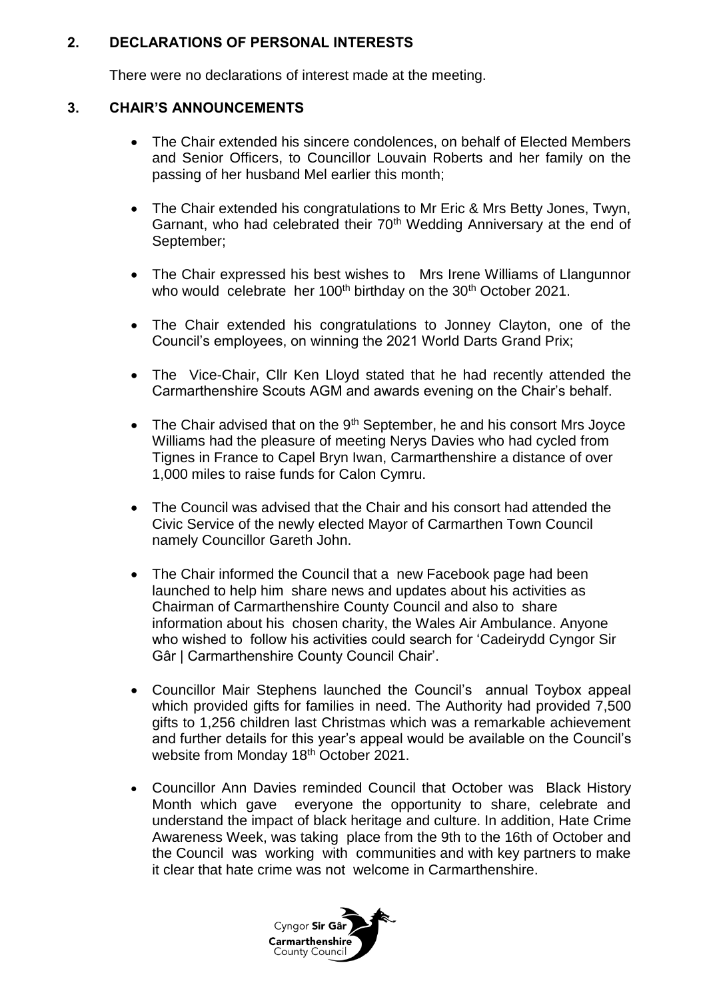#### **2. DECLARATIONS OF PERSONAL INTERESTS**

There were no declarations of interest made at the meeting.

## **3. CHAIR'S ANNOUNCEMENTS**

- The Chair extended his sincere condolences, on behalf of Elected Members and Senior Officers, to Councillor Louvain Roberts and her family on the passing of her husband Mel earlier this month;
- The Chair extended his congratulations to Mr Eric & Mrs Betty Jones, Twyn, Garnant, who had celebrated their 70<sup>th</sup> Wedding Anniversary at the end of September;
- The Chair expressed his best wishes to Mrs Irene Williams of Llangunnor who would celebrate her 100<sup>th</sup> birthday on the 30<sup>th</sup> October 2021.
- The Chair extended his congratulations to Jonney Clayton, one of the Council's employees, on winning the 2021 World Darts Grand Prix;
- The Vice-Chair, Cllr Ken Lloyd stated that he had recently attended the Carmarthenshire Scouts AGM and awards evening on the Chair's behalf.
- The Chair advised that on the 9<sup>th</sup> September, he and his consort Mrs Joyce Williams had the pleasure of meeting Nerys Davies who had cycled from Tignes in France to Capel Bryn Iwan, Carmarthenshire a distance of over 1,000 miles to raise funds for Calon Cymru.
- The Council was advised that the Chair and his consort had attended the Civic Service of the newly elected Mayor of Carmarthen Town Council namely Councillor Gareth John.
- The Chair informed the Council that a new Facebook page had been launched to help him share news and updates about his activities as Chairman of Carmarthenshire County Council and also to share information about his chosen charity, the Wales Air Ambulance. Anyone who wished to follow his activities could search for 'Cadeirydd Cyngor Sir Gâr | Carmarthenshire County Council Chair'.
- Councillor Mair Stephens launched the Council's annual Toybox appeal which provided gifts for families in need. The Authority had provided 7,500 gifts to 1,256 children last Christmas which was a remarkable achievement and further details for this year's appeal would be available on the Council's website from Monday 18th October 2021.
- Councillor Ann Davies reminded Council that October was Black History Month which gave everyone the opportunity to share, celebrate and understand the impact of black heritage and culture. In addition, Hate Crime Awareness Week, was taking place from the 9th to the 16th of October and the Council was working with communities and with key partners to make it clear that hate crime was not welcome in Carmarthenshire.

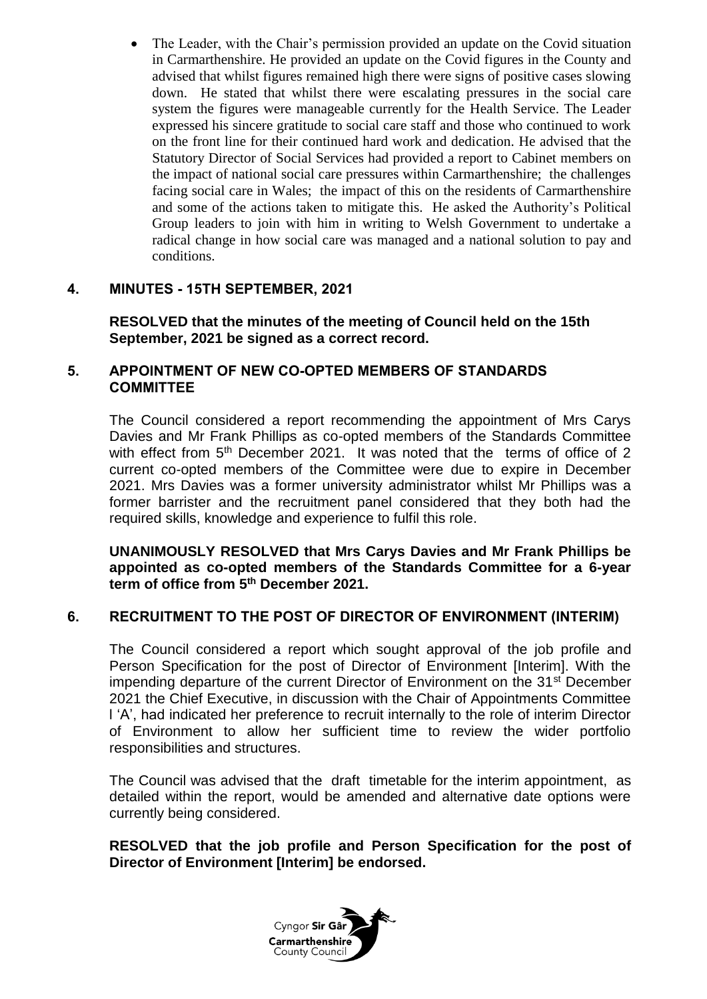The Leader, with the Chair's permission provided an update on the Covid situation in Carmarthenshire. He provided an update on the Covid figures in the County and advised that whilst figures remained high there were signs of positive cases slowing down. He stated that whilst there were escalating pressures in the social care system the figures were manageable currently for the Health Service. The Leader expressed his sincere gratitude to social care staff and those who continued to work on the front line for their continued hard work and dedication. He advised that the Statutory Director of Social Services had provided a report to Cabinet members on the impact of national social care pressures within Carmarthenshire; the challenges facing social care in Wales; the impact of this on the residents of Carmarthenshire and some of the actions taken to mitigate this. He asked the Authority's Political Group leaders to join with him in writing to Welsh Government to undertake a radical change in how social care was managed and a national solution to pay and conditions.

## **4. MINUTES - 15TH SEPTEMBER, 2021**

**RESOLVED that the minutes of the meeting of Council held on the 15th September, 2021 be signed as a correct record.**

## **5. APPOINTMENT OF NEW CO-OPTED MEMBERS OF STANDARDS COMMITTEE**

The Council considered a report recommending the appointment of Mrs Carys Davies and Mr Frank Phillips as co-opted members of the Standards Committee with effect from 5<sup>th</sup> December 2021. It was noted that the terms of office of 2 current co-opted members of the Committee were due to expire in December 2021. Mrs Davies was a former university administrator whilst Mr Phillips was a former barrister and the recruitment panel considered that they both had the required skills, knowledge and experience to fulfil this role.

**UNANIMOUSLY RESOLVED that Mrs Carys Davies and Mr Frank Phillips be appointed as co-opted members of the Standards Committee for a 6-year term of office from 5th December 2021.**

## **6. RECRUITMENT TO THE POST OF DIRECTOR OF ENVIRONMENT (INTERIM)**

The Council considered a report which sought approval of the job profile and Person Specification for the post of Director of Environment [Interim]. With the impending departure of the current Director of Environment on the 31<sup>st</sup> December 2021 the Chief Executive, in discussion with the Chair of Appointments Committee l 'A', had indicated her preference to recruit internally to the role of interim Director of Environment to allow her sufficient time to review the wider portfolio responsibilities and structures.

The Council was advised that the draft timetable for the interim appointment, as detailed within the report, would be amended and alternative date options were currently being considered.

**RESOLVED that the job profile and Person Specification for the post of Director of Environment [Interim] be endorsed.**

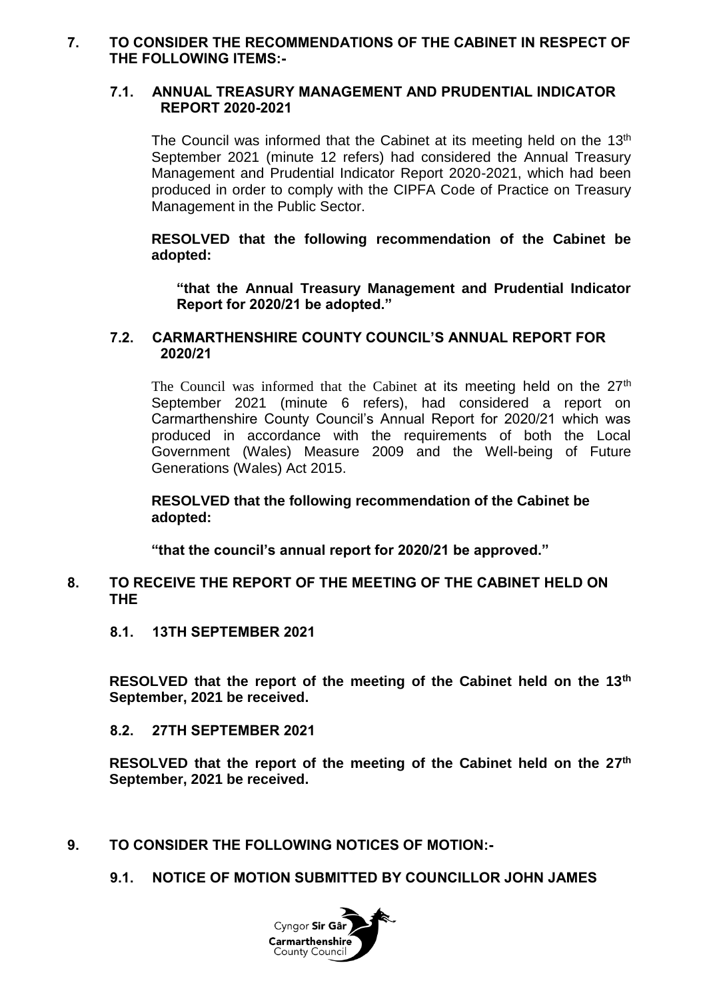#### **7. TO CONSIDER THE RECOMMENDATIONS OF THE CABINET IN RESPECT OF THE FOLLOWING ITEMS:-**

#### **7.1. ANNUAL TREASURY MANAGEMENT AND PRUDENTIAL INDICATOR REPORT 2020-2021**

The Council was informed that the Cabinet at its meeting held on the  $13<sup>th</sup>$ September 2021 (minute 12 refers) had considered the Annual Treasury Management and Prudential Indicator Report 2020-2021, which had been produced in order to comply with the CIPFA Code of Practice on Treasury Management in the Public Sector.

**RESOLVED that the following recommendation of the Cabinet be adopted:**

**"that the Annual Treasury Management and Prudential Indicator Report for 2020/21 be adopted."**

#### **7.2. CARMARTHENSHIRE COUNTY COUNCIL'S ANNUAL REPORT FOR 2020/21**

The Council was informed that the Cabinet at its meeting held on the  $27<sup>th</sup>$ September 2021 (minute 6 refers), had considered a report on Carmarthenshire County Council's Annual Report for 2020/21 which was produced in accordance with the requirements of both the Local Government (Wales) Measure 2009 and the Well-being of Future Generations (Wales) Act 2015.

**RESOLVED that the following recommendation of the Cabinet be adopted:**

**"that the council's annual report for 2020/21 be approved."**

#### **8. TO RECEIVE THE REPORT OF THE MEETING OF THE CABINET HELD ON THE**

**8.1. 13TH SEPTEMBER 2021**

**RESOLVED that the report of the meeting of the Cabinet held on the 13th September, 2021 be received.**

#### **8.2. 27TH SEPTEMBER 2021**

**RESOLVED that the report of the meeting of the Cabinet held on the 27 th September, 2021 be received.**

- **9. TO CONSIDER THE FOLLOWING NOTICES OF MOTION:-**
	- **9.1. NOTICE OF MOTION SUBMITTED BY COUNCILLOR JOHN JAMES**

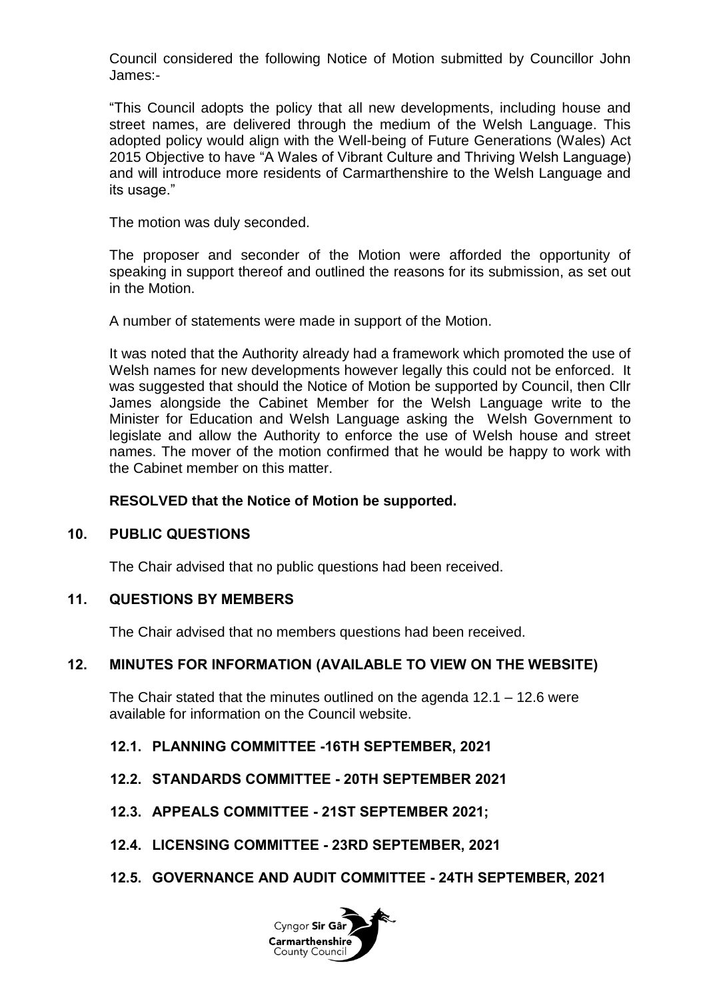Council considered the following Notice of Motion submitted by Councillor John James:-

"This Council adopts the policy that all new developments, including house and street names, are delivered through the medium of the Welsh Language. This adopted policy would align with the Well-being of Future Generations (Wales) Act 2015 Objective to have "A Wales of Vibrant Culture and Thriving Welsh Language) and will introduce more residents of Carmarthenshire to the Welsh Language and its usage."

The motion was duly seconded.

The proposer and seconder of the Motion were afforded the opportunity of speaking in support thereof and outlined the reasons for its submission, as set out in the Motion.

A number of statements were made in support of the Motion.

It was noted that the Authority already had a framework which promoted the use of Welsh names for new developments however legally this could not be enforced. It was suggested that should the Notice of Motion be supported by Council, then Cllr James alongside the Cabinet Member for the Welsh Language write to the Minister for Education and Welsh Language asking the Welsh Government to legislate and allow the Authority to enforce the use of Welsh house and street names. The mover of the motion confirmed that he would be happy to work with the Cabinet member on this matter.

#### **RESOLVED that the Notice of Motion be supported.**

#### **10. PUBLIC QUESTIONS**

The Chair advised that no public questions had been received.

## **11. QUESTIONS BY MEMBERS**

The Chair advised that no members questions had been received.

#### **12. MINUTES FOR INFORMATION (AVAILABLE TO VIEW ON THE WEBSITE)**

The Chair stated that the minutes outlined on the agenda  $12.1 - 12.6$  were available for information on the Council website.

#### **12.1. PLANNING COMMITTEE -16TH SEPTEMBER, 2021**

- **12.2. STANDARDS COMMITTEE - 20TH SEPTEMBER 2021**
- **12.3. APPEALS COMMITTEE - 21ST SEPTEMBER 2021;**
- **12.4. LICENSING COMMITTEE - 23RD SEPTEMBER, 2021**

#### **12.5. GOVERNANCE AND AUDIT COMMITTEE - 24TH SEPTEMBER, 2021**